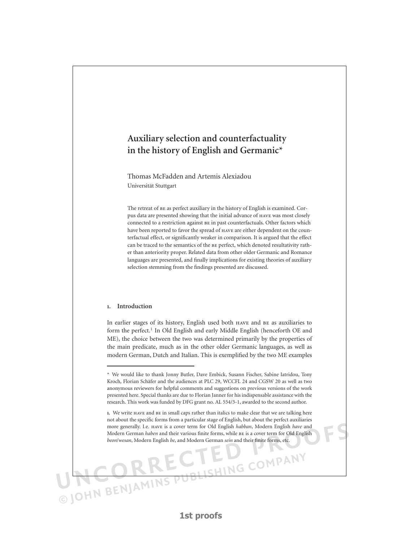# **Auxiliary selection and counterfactuality in the history of English and Germanic\***

Thomas McFadden and Artemis Alexiadou Universität Stuttgart

The retreat of be as perfect auxiliary in the history of English is examined. Corpus data are presented showing that the initial advance of have was most closely connected to a restriction against be in past counterfactuals. Other factors which have been reported to favor the spread of  $H$ AVE are either dependent on the counterfactual effect, or significantly weaker in comparison. It is argued that the effect can be traced to the semantics of the be perfect, which denoted resultativity rather than anteriority proper. Related data from other older Germanic and Romance languages are presented, and finally implications for existing theories of auxiliary selection stemming from the findings presented are discussed.

# **. Introduction**

 $\overline{\odot}$ **JOHN BENJAM** 

In earlier stages of its history, English used both have and be as auxiliaries to form the perfect.<sup>1</sup> In Old English and early Middle English (henceforth OE and ME), the choice between the two was determined primarily by the properties of the main predicate, much as in the other older Germanic languages, as well as modern German, Dutch and Italian. This is exemplified by the two ME examples

HING COMPANY

<sup>\*</sup> We would like to thank Jonny Butler, Dave Embick, Susann Fischer, Sabine Iatridou, Tony Kroch, Florian Schäfer and the audiences at PLC 29, WCCFL 24 and CGSW 20 as well as two anonymous reviewers for helpful comments and suggestions on previous versions of the work presented here. Special thanks are due to Florian Janner for his indispensable assistance with the research. This work was funded by DFG grant no. AL 554/3-1, awarded to the second author.

**<sup>.</sup>** We write have and be in small caps rather than italics to make clear that we are talking here not about the specific forms from a particular stage of English, but about the perfect auxiliaries more generally. I.e. have is a cover term for Old English *habban*, Modern English *have* and Modern German *haben* and their various finite forms, while be is a cover term for Old English *beon*/*wesan*, Modern English *be*, and Modern German *sein* and their finite forms, etc.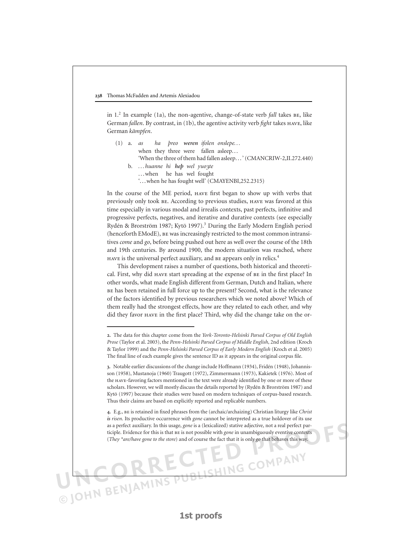in 1.<sup>2</sup> In example (1a), the non-agentive, change-of-state verb *fall* takes be, like German *fallen*. By contrast, in (1b), the agentive activity verb *fight* takes have, like German *kämpfen*.

- (1) a. *as* when they three were fallen asleep... *ha þreo weren ifolen onslepe. . .*
	- 'When the three of them had fallen asleep. . . ' (CMANCRIW-2,II.272.440)
	- b. *. . . huanne hi heþ wel yuoŠte*
		- ...when he has wel fought
		- '. . .when he has fought well' (CMAYENBI,252.2315)

In the course of the ME period, have first began to show up with verbs that previously only took be. According to previous studies, have was favored at this time especially in various modal and irrealis contexts, past perfects, infinitive and progressive perfects, negatives, and iterative and durative contexts (see especially Rydén & Brorström 1987; Kytö 1997).<sup>3</sup> During the Early Modern English period (henceforth EModE), be was increasingly restricted to the most common intransitives *come* and *go*, before being pushed out here as well over the course of the 18th and 19th centuries. By around 1900, the modern situation was reached, where have is the universal perfect auxiliary, and be appears only in relics.<sup>4</sup>

This development raises a number of questions, both historical and theoretical. First, why did have start spreading at the expense of be in the first place? In other words, what made English different from German, Dutch and Italian, where be has been retained in full force up to the present? Second, what is the relevance of the factors identified by previous researchers which we noted above? Which of them really had the strongest effects, how are they related to each other, and why did they favor have in the first place? Third, why did the change take on the or-

 $\overline{6}$ **JOHN BENJAM** 

**<sup>.</sup>** The data for this chapter come from the *York-Toronto-Helsinki Parsed Corpus of Old English Prose* (Taylor et al. 2003), the *Penn-Helsinki Parsed Corpus of Middle English*, 2nd edition (Kroch & Taylor 1999) and the *Penn-Helsinki Parsed Corpus of Early Modern English* (Kroch et al. 2005) The final line of each example gives the sentence ID as it appears in the original corpus file.

**<sup>.</sup>** Notable earlier discussions of the change include Hoffmann (1934), Fridén (1948), Johannisson (1958), Mustanoja (1960) Traugott (1972), Zimmermann (1973), Kakietek (1976). Most of the have-favoring factors mentioned in the text were already identified by one or more of these scholars. However, we will mostly discuss the details reported by (Rydén & Brorström 1987) and Kytö (1997) because their studies were based on modern techniques of corpus-based research. Thus their claims are based on explicitly reported and replicable numbers.

HING COMPANY **.** E.g., be is retained in fixed phrases from the (archaic/archaizing) Christian liturgy like *Christ is risen*. Its productive occurrence with *gone* cannot be interpreted as a true holdover of its use as a perfect auxiliary. In this usage, *gone* is a (lexicalized) stative adjective, not a real perfect participle. Evidence for this is that be is not possible with *gone* in unambiguously eventive contexts (*They \*are/have gone to the store*) and of course the fact that it is only *go* that behaves this way.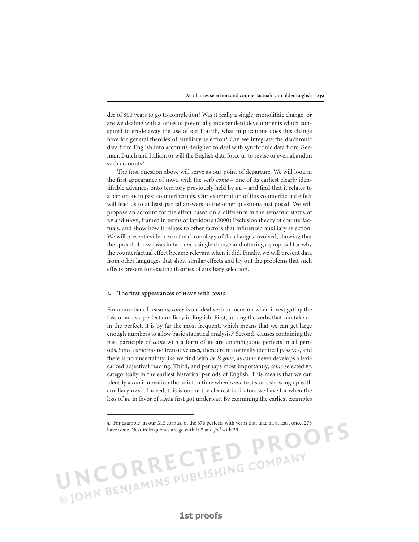der of 800 years to go to completion? Was it really a single, monolithic change, or are we dealing with a series of potentially independent developments which conspired to erode away the use of BE? Fourth, what implications does this change have for general theories of auxiliary selection? Can we integrate the diachronic data from English into accounts designed to deal with synchronic data from German, Dutch and Italian, or will the English data force us to revise or even abandon such accounts?

The first question above will serve as our point of departure. We will look at the first appearance of have with the verb *come* – one of its earliest clearly identifiable advances onto territory previously held by be – and find that it relates to a ban on be in past counterfactuals. Our examination of this counterfactual effect will lead us to at least partial answers to the other questions just posed. We will propose an account for the effect based on a difference in the semantic status of be and have, framed in terms of Iatridou's (2000) Exclusion theory of counterfactuals, and show how it relates to other factors that influenced auxiliary selection. We will present evidence on the chronology of the changes involved, showing that the spread of have was in fact *not* a single change and offering a proposal for why the counterfactual effect became relevant when it did. Finally, we will present data from other languages that show similar effects and lay out the problems that such effects present for existing theories of auxiliary selection.

## **. The first appearances of have with** *come*

For a number of reasons, *come* is an ideal verb to focus on when investigating the loss of be as a perfect auxiliary in English. First, among the verbs that can take be in the perfect, it is by far the most frequent, which means that we can get large enough numbers to allow basic statistical analysis.<sup>5</sup> Second, clauses containing the past participle of *come* with a form of be are unambiguous perfects in all periods. Since *come* has no transitive uses, there are no formally identical passives, and there is no uncertainty like we find with *he is gone*, as *come* never develops a lexicalized adjectival reading. Third, and perhaps most importantly, *come* selected be categorically in the earliest historical periods of English. This means that we can identify as an innovation the point in time when *come* first starts showing up with auxiliary have. Indeed, this is one of the clearest indicators we have for when the loss of be in favor of have first got underway. By examining the earliest examples

<sup>5.</sup> For example, in our ME corpus, of the 676 perfects with verbs that take BE at least once, 273<br>have *come*. Next in frequency are go with 107 and *fall* with 39.<br>**RRECIEM** MING COMPANY **.** For example, in our ME corpus, of the 676 perfects with verbs that take be at least once, 273 have *come*. Next in frequency are *go* with 107 and *fall* with 39.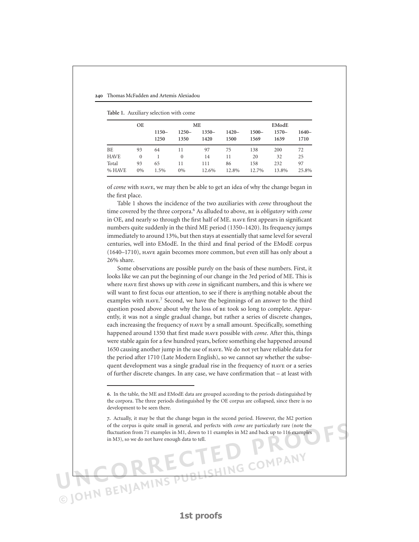**Table 1.** Auxiliary selection with come

|                 | <b>OE</b>    |                 |                  | ME              |                  |                  | EModE           |                 |
|-----------------|--------------|-----------------|------------------|-----------------|------------------|------------------|-----------------|-----------------|
|                 |              | $1150-$<br>1250 | $1250 -$<br>1350 | $1350-$<br>1420 | $1420 -$<br>1500 | $1500 -$<br>1569 | $1570-$<br>1639 | $1640-$<br>1710 |
| BE              | 93           | 64              | 11               | 97              | 75               | 138              | 200             | 72              |
| <b>HAVE</b>     | $\mathbf{0}$ |                 | $\Omega$         | 14              | 11               | 20               | 32              | 25              |
| Total<br>% HAVE | 93<br>0%     | 65<br>1.5%      | 11<br>0%         | 111<br>12.6%    | 86<br>12.8%      | 158<br>12.7%     | 232<br>13.8%    | 97<br>25.8%     |

of *come* with have, we may then be able to get an idea of why the change began in the first place.

Table 1 shows the incidence of the two auxiliaries with *come* throughout the time covered by the three corpora.<sup>6</sup> As alluded to above, be is *obligatory* with *come* in OE, and nearly so through the first half of ME. have first appears in significant numbers quite suddenly in the third ME period (1350–1420). Its frequency jumps immediately to around 13%, but then stays at essentially that same level for several centuries, well into EModE. In the third and final period of the EModE corpus (1640–1710), have again becomes more common, but even still has only about a 26% share.

Some observations are possible purely on the basis of these numbers. First, it looks like we can put the beginning of our change in the 3rd period of ME. This is where have first shows up with *come* in significant numbers, and this is where we will want to first focus our attention, to see if there is anything notable about the examples with HAVE.<sup>7</sup> Second, we have the beginnings of an answer to the third question posed above about why the loss of be took so long to complete. Apparently, it was not a single gradual change, but rather a series of discrete changes, each increasing the frequency of have by a small amount. Specifically, something happened around 1350 that first made have possible with *come*. After this, things were stable again for a few hundred years, before something else happened around 1650 causing another jump in the use of have. We do not yet have reliable data for the period after 1710 (Late Modern English), so we cannot say whether the subsequent development was a single gradual rise in the frequency of have or a series of further discrete changes. In any case, we have confirmation that – at least with

**<sup>.</sup>** In the table, the ME and EModE data are grouped according to the periods distinguished by the corpora. The three periods distinguished by the OE corpus are collapsed, since there is no development to be seen there.

of the corpus is quite small in general, and perfects with *come* are particularly rare (note the fluctuation from 71 examples in M1, down to 11 examples in M2 and back up to 116 examples in M3), so we do not have enough d **.** Actually, it may be that the change began in the second period. However, the M2 portion of the corpus is quite small in general, and perfects with *come* are particularly rare (note the fluctuation from 71 examples in M1, down to 11 examples in M2 and back up to 116 examples in M3), so we do not have enough data to tell.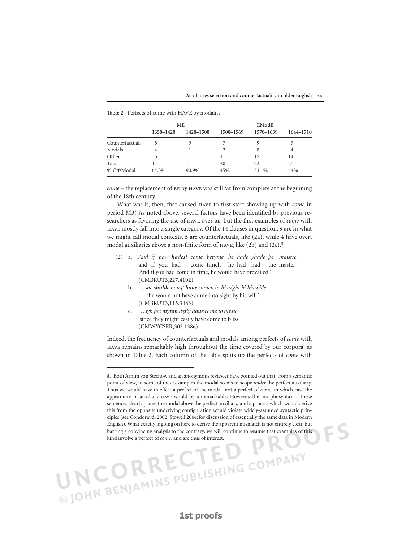| Auxiliaries selection and counterfactuality in older English 241 |  |  |
|------------------------------------------------------------------|--|--|
|------------------------------------------------------------------|--|--|

|  |  |  |  |  |  | Table 2. Perfects of come with HAVE by modality |  |
|--|--|--|--|--|--|-------------------------------------------------|--|
|--|--|--|--|--|--|-------------------------------------------------|--|

|                 | МE        |               | EModE     |           |           |
|-----------------|-----------|---------------|-----------|-----------|-----------|
|                 | 1350-1420 | $1420 - 1500$ | 1500-1569 | 1570-1639 | 1644-1710 |
| Counterfactuals | 5         |               |           | 9         |           |
| Modals          | 4         |               |           | 8         | 4         |
| Other           | 5         |               | 11        | 15        | 14        |
| Total           | 14        | 11            | 20        | 32        | 25        |
| % Ctf/Modal     | 64.3%     | 90.9%         | 45%       | 53.1%     | 44%       |

*come* – the replacement of be by have was still far from complete at the beginning of the 18th century.

What was it, then, that caused have to first start showing up with *come* in period M3? As noted above, several factors have been identified by previous researchers as favoring the use of have over be, but the first examples of *come* with have mostly fall into a single category. Of the 14 clauses in question, 9 are in what we might call modal contexts. 5 are counterfactuals, like (2a), while 4 have overt modal auxiliaries above a non-finite form of  $H$ AVE, like (2b) and (2c).<sup>8</sup>

- (2) a. *And if þow hadest come betyme, he hade yhade þe maistre* and if you had come timely he had had the master 'And if you had come in time, he would have prevailed.' (CMBRUT3,227.4102)
	- b. . . .*she shulde nouŠt haue comen in his sight bi his wille* '. . . she would not have come into sight by his will.' (CMBRUT3,115.3483)
	- c. . . .*syþ þei myton liŠtly haue come to blysse* 'since they might easily have come to bliss' (CMWYCSER,303.1386)

Indeed, the frequency of counterfactuals and modals among perfects of *come* with have remains remarkably high throughout the time covered by our corpora, as shown in Table 2. Each column of the table splits up the perfects of *come* with

 $\odot$ **JOHN BENJAM** 

**ELD P'KU .** Both Arnim von Stechow and an anonymous reviewer have pointed out that, from a semantic point of view, in some of these examples the modal seems to scope *under* the perfect auxiliary. Thus we would have in effect a perfect of the modal, not a perfect of *come*, in which case the appearance of auxiliary have would be unremarkable. However, the morphosyntax of these sentences clearly places the modal above the perfect auxiliary, and a process which would derive this from the opposite underlying configuration would violate widely-assumed syntactic principles (see Condoravdi 2002; Stowell 2004: for discussion of essentially the same data in Modern English). What exactly is going on here to derive the apparent mismatch is not entirely clear, but barring a convincing analysis to the contrary, we will continue to assume that examples of this kind involve a perfect of *come*, and are thus of interest.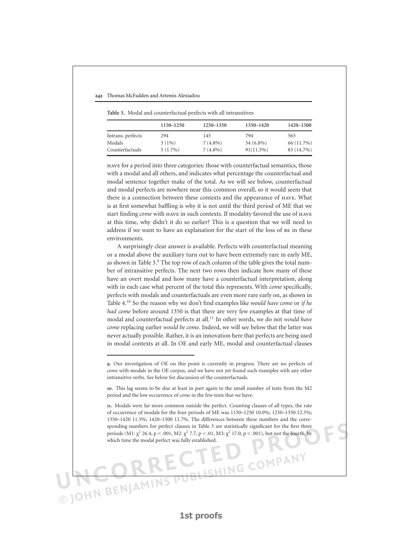**Table 3.** Modal and counterfactual pexfects with all intransitives

|                   | 1150–1250  | 1250–1350  | 1350-1420    | 1420–1500  |
|-------------------|------------|------------|--------------|------------|
| Intrans. perfects | 294        | 145        | 794          | 565        |
| Modals            | $3(1\%)$   | $7(4.8\%)$ | 54 (6.8%)    | 66 (11.7%) |
| Counterfactuals   | $5(1.7\%)$ | $7(4.8\%)$ | $91(11.5\%)$ | 83 (14.7%) |

have for a period into three categories: those with counterfactual semantics, those with a modal and all others, and indicates what percentage the counterfactual and modal sentence together make of the total. As we will see below, counterfactual and modal perfects are nowhere near this common overall, so it would seem that there is a connection between these contexts and the appearance of have. What is at first somewhat baffling is why it is not until the third period of ME that we start finding *come* with HAVE in such contexts. If modality favored the use of HAVE at this time, why didn't it do so earlier? This is a question that we will need to address if we want to have an explanation for the start of the loss of be in these environments.

A surprisingly clear answer is available. Perfects with counterfactual meaning or a modal above the auxiliary turn out to have been extremely rare in early ME, as shown in Table 3.<sup>9</sup> The top row of each column of the table gives the total number of intransitive perfects. The next two rows then indicate how many of these have an overt modal and how many have a counterfactual interpretation, along with in each case what percent of the total this represents. With *come* specifically, perfects with modals and counterfactuals are even more rare early on, as shown in Table 4.<sup>10</sup> So the reason why we don't find examples like *would have come* or *if he had come* before around 1350 is that there are very few examples at that time of modal and counterfactual perfects at all.<sup>11</sup> In other words, we do not *would have come* replacing earlier *would be come*. Indeed, we will see below that the latter was never actually possible. Rather, it is an innovation here that perfects are being used in modal contexts at all. In OE and early ME, modal and counterfactual clauses

**2706**<br>27**00HN BENJAN** 

**<sup>.</sup>** Our investigation of OE on this point is currently in progress. There are no perfects of *come* with modals in the OE corpus, and we have not yet found such examples with any other intransitive verbs. See below for discussion of the counterfactuals.

**<sup>.</sup>** This lag seems to be due at least in part again to the small number of texts from the M2 period and the low occurrence of *come* in the few texts that we have.

HING COMPANY **.** Modals were far more common outside the perfect. Counting clauses of all types, the rate of occurrence of modals for the four periods of ME was 1150–1250 10.0%; 1250–1350 12.5%; 1350–1420 11.5%; 1420–1500 11.7%. The differences between these numbers and the corresponding numbers for perfect clauses in Table 3 are statistically significant for the first three periods  $(M1: \chi^2$  26.4, p < .001, M2:  $\chi^2$  7.7, p < .01, M3:  $\chi^2$  17.0, p < .001), but not the fourth, by which time the modal perfect was fully established.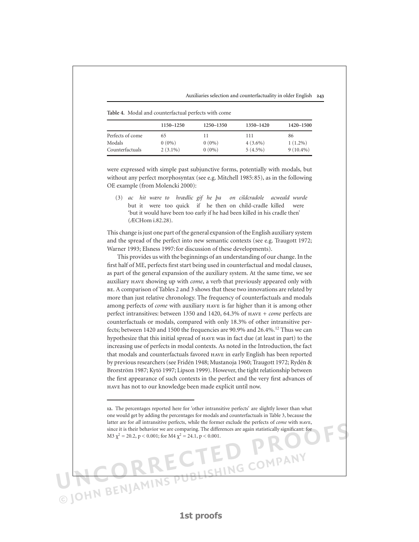**Table 4.** Modal and counterfactual perfects with come

|                  | 1150–1250  | 1250–1350 | 1350–1420  | 1420-1500   |
|------------------|------------|-----------|------------|-------------|
| Perfects of come | 65.        | 11        | 111        | 86          |
| <b>Modals</b>    | $0(0\%)$   | $0(0\%)$  | $4(3.6\%)$ | $1(1.2\%)$  |
| Counterfactuals  | $2(3.1\%)$ | $0(0\%)$  | $5(4.5\%)$ | $9(10.4\%)$ |

were expressed with simple past subjunctive forms, potentially with modals, but without any perfect morphosyntax (see e.g. Mitchell 1985:85), as in the following OE example (from Molencki 2000):

(3) *ac hit wære to hrædlic gif he þa on cildcradole acweald wurde* but it were too quick if he then on child-cradle killed were 'but it would have been too early if he had been killed in his cradle then' (ÆCHom i.82.28).

This change is just one part of the general expansion of the English auxiliary system and the spread of the perfect into new semantic contexts (see e.g. Traugott 1972; Warner 1993; Elsness 1997: for discussion of these developments).

This provides us with the beginnings of an understanding of our change. In the first half of ME, perfects first start being used in counterfactual and modal clauses, as part of the general expansion of the auxiliary system. At the same time, we see auxiliary have showing up with *come*, a verb that previously appeared only with be. A comparison of Tables 2 and 3 shows that these two innovations are related by more than just relative chronology. The frequency of counterfactuals and modals among perfects of *come* with auxiliary have is far higher than it is among other perfect intransitives: between 1350 and 1420, 64.3% of have + *come* perfects are counterfactuals or modals, compared with only 18.3% of other intransitive perfects; between 1420 and 1500 the frequencies are 90.9% and 26.4%.<sup>12</sup> Thus we can hypothesize that this initial spread of have was in fact due (at least in part) to the increasing use of perfects in modal contexts. As noted in the Introduction, the fact that modals and counterfactuals favored have in early English has been reported by previous researchers (see Fridén 1948; Mustanoja 1960; Traugott 1972; Rydén & Brorström 1987; Kytö 1997; Lipson 1999). However, the tight relationship between the first appearance of such contexts in the perfect and the very first advances of have has not to our knowledge been made explicit until now.

 $\overline{\odot}$ **JOHN BENJAN** 

**CTED PRU .** The percentages reported here for 'other intransitive perfects' are slightly lower than what one would get by adding the percentages for modals and counterfactuals in Table 3, because the latter are for *all* intransitive perfects, while the former exclude the perfects of *come* with have, since it is their behavior we are comparing. The differences are again statistically significant: for M3  $\chi^2 = 20.2$ , p < 0.001; for M4  $\chi^2 = 24.1$ , p < 0.001.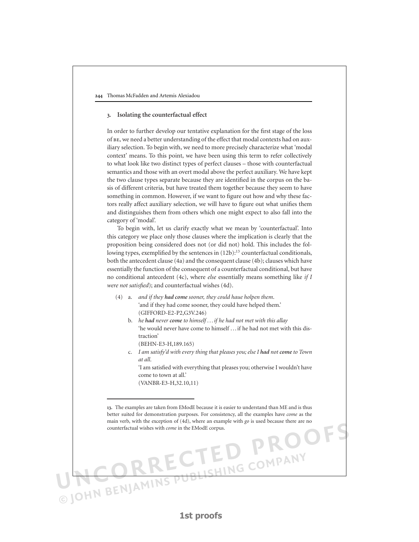### **. Isolating the counterfactual effect**

In order to further develop our tentative explanation for the first stage of the loss of be, we need a better understanding of the effect that modal contexts had on auxiliary selection. To begin with, we need to more precisely characterize what 'modal context' means. To this point, we have been using this term to refer collectively to what look like two distinct types of perfect clauses – those with counterfactual semantics and those with an overt modal above the perfect auxiliary. We have kept the two clause types separate because they are identified in the corpus on the basis of different criteria, but have treated them together because they seem to have something in common. However, if we want to figure out how and why these factors really affect auxiliary selection, we will have to figure out what unifies them and distinguishes them from others which one might expect to also fall into the category of 'modal'.

To begin with, let us clarify exactly what we mean by 'counterfactual'. Into this category we place only those clauses where the implication is clearly that the proposition being considered does not (or did not) hold. This includes the following types, exemplified by the sentences in  $(12b)$ :<sup>13</sup> counterfactual conditionals, both the antecedent clause (4a) and the consequent clause (4b); clauses which have essentially the function of the consequent of a counterfactual conditional, but have no conditional antecedent (4c), where *else* essentially means something like *if I were not satisfied*); and counterfactual wishes (4d).

- (4) a. *and if they had come sooner, they could haue holpen them*. 'and if they had come sooner, they could have helped them.' (GIFFORD-E2-P2,G3V.246)
	- b. *he had never come to himself . . .if he had not met with this allay* 'he would never have come to himself . . .if he had not met with this distraction' (BEHN-E3-H,189.165)
	- c. *I am satisfy'd with every thing that pleases you; else I had not come to Town at all*.

'I am satisfied with everything that pleases you; otherwise I wouldn't have come to town at all.' (VANBR-E3-H,32.10,11)

ENIAMINS PUBLISHING COMPANY **.** The examples are taken from EModE because it is easier to understand than ME and is thus better suited for demonstration purposes. For consistency, all the examples have *come* as the main verb, with the exception of (4d), where an example with *go* is used because there are no counterfactual wishes with *come* in the EModE corpus.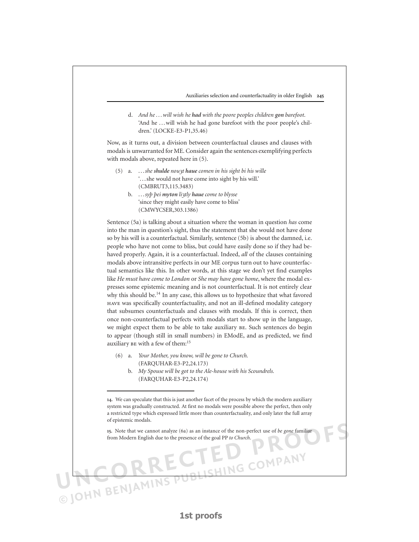d. *And he . . . will wish he had with the poore peoples children gon barefoot*. 'And he ... will wish he had gone barefoot with the poor people's children.' (LOCKE-E3-P1,35.46)

Now, as it turns out, a division between counterfactual clauses and clauses with modals is unwarranted for ME. Consider again the sentences exemplifying perfects with modals above, repeated here in (5).

- (5) a. . . .*she shulde nouŠt haue comen in his sight bi his wille* '. . . she would not have come into sight by his will.' (CMBRUT3,115.3483)
	- b. . . .*syþ þei myton liŠtly haue come to blysse* 'since they might easily have come to bliss' (CMWYCSER,303.1386)

Sentence (5a) is talking about a situation where the woman in question *has* come into the man in question's sight, thus the statement that she would not have done so by his will is a counterfactual. Similarly, sentence (5b) is about the damned, i.e. people who have not come to bliss, but could have easily done so if they had behaved properly. Again, it is a counterfactual. Indeed, *all* of the clauses containing modals above intransitive perfects in our ME corpus turn out to have counterfactual semantics like this. In other words, at this stage we don't yet find examples like *He must have come to London* or *She may have gone home*, where the modal expresses some epistemic meaning and is not counterfactual. It is not entirely clear why this should be.<sup>14</sup> In any case, this allows us to hypothesize that what favored have was specifically counterfactuality, and not an ill-defined modality category that subsumes counterfactuals and clauses with modals. If this is correct, then once non-counterfactual perfects with modals start to show up in the language, we might expect them to be able to take auxiliary be. Such sentences do begin to appear (though still in small numbers) in EModE, and as predicted, we find auxiliary be with a few of them:<sup>15</sup>

- (6) a. *Your Mother, you know, will be gone to Church.* (FARQUHAR-E3-P2,24.173)
	- b. *My Spouse will be got to the Ale-house with his Scoundrels.* (FARQUHAR-E3-P2,24.174)

HING COMPANY **.** Note that we cannot analyze (6a) as an instance of the non-perfect use of *be gone* familiar from Modern English due to the presence of the goal PP *to Church*.

# **1st proofs**

 $\odot$ **JOHN BENIAT** 

**<sup>.</sup>** We can speculate that this is just another facet of the process by which the modern auxiliary system was gradually constructed. At first no modals were possible above the perfect, then only a restricted type which expressed little more than counterfactuality, and only later the full array of epistemic modals.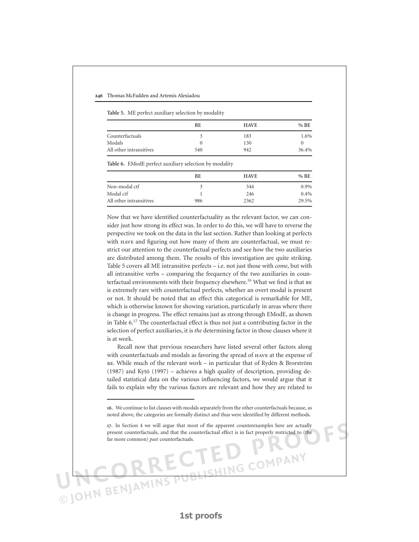**Table 5.** ME perfect auxiliary selection by modality

|                         | BE.      | <b>HAVE</b> | % BE  |
|-------------------------|----------|-------------|-------|
| Counterfactuals         | ∍        | 183         | 1.6%  |
| Modals                  | $\theta$ | 130         |       |
| All other intransitives | 540      | 942         | 36.4% |

**Table 6.** EModE perfect auxiliary selection by modality

|                         | <b>BE</b> | <b>HAVE</b> | % BE  |
|-------------------------|-----------|-------------|-------|
| Non-modal ctf           |           | 344         | 0.9%  |
| Modal ctf               |           | 246         | 0.4%  |
| All other intransitives | 986       | 2362        | 29.5% |

Now that we have identified counterfactuality as the relevant factor, we can consider just how strong its effect was. In order to do this, we will have to reverse the perspective we took on the data in the last section. Rather than looking at perfects with have and figuring out how many of them are counterfactual, we must restrict our attention to the counterfactual perfects and see how the two auxiliaries are distributed among them. The results of this investigation are quite striking. Table 5 covers all ME intransitive perfects – i.e. not just those with *come*, but with all intransitive verbs – comparing the frequency of the two auxiliaries in counterfactual environments with their frequency elsewhere.<sup>16</sup> What we find is that BE is extremely rare with counterfactual perfects, whether an overt modal is present or not. It should be noted that an effect this categorical is remarkable for ME, which is otherwise known for showing variation, particularly in areas where there is change in progress. The effect remains just as strong through EModE, as shown in Table 6.<sup>17</sup> The counterfactual effect is thus not just a contributing factor in the selection of perfect auxiliaries, it is *the* determining factor in those clauses where it is at work.

Recall now that previous researchers have listed several other factors along with counterfactuals and modals as favoring the spread of have at the expense of be. While much of the relevant work – in particular that of Rydén & Brorström (1987) and Kytö (1997) – achieves a high quality of description, providing detailed statistical data on the various influencing factors, we would argue that it fails to explain why the various factors are relevant and how they are related to

**<sup>.</sup>** We continue to list clauses with modals separately from the other counterfactuals because, as noted above, the categories are formally distinct and thus were identified by different methods.

<sup>17.</sup> In Section 4 we will argue that most of the apparent counterexamples here are actually<br>present counterfactuals, and that the counterfactual effect is in fact properly restricted to (the<br>far more common) *past* counterf **.** In Section 4 we will argue that most of the apparent counterexamples here are actually present counterfactuals, and that the counterfactual effect is in fact properly restricted to (the far more common) *past* counterfactuals.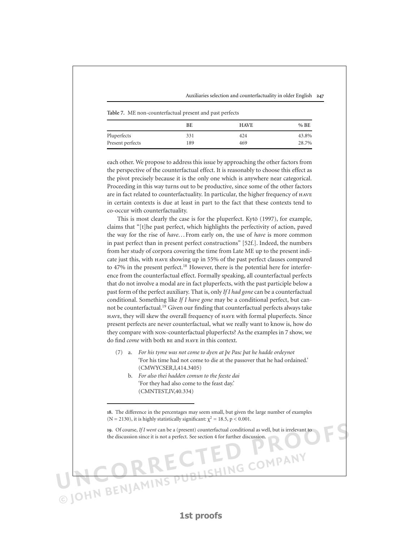|                                                          |           | Auxiliaries selection and counterfactuality in older English 247 |       |  |
|----------------------------------------------------------|-----------|------------------------------------------------------------------|-------|--|
| Table 7. ME non-counterfactual present and past perfects |           |                                                                  |       |  |
|                                                          | <b>BE</b> | <b>HAVE</b>                                                      | % BE  |  |
| Pluperfects                                              | 331       | 424                                                              | 43.8% |  |
| Present perfects                                         | 189       | 469                                                              | 28.7% |  |

each other. We propose to address this issue by approaching the other factors from the perspective of the counterfactual effect. It is reasonably to choose this effect as the pivot precisely because it is the only one which is anywhere near categorical. Proceeding in this way turns out to be productive, since some of the other factors are in fact related to counterfactuality. In particular, the higher frequency of have in certain contexts is due at least in part to the fact that these contexts tend to co-occur with counterfactuality.

This is most clearly the case is for the pluperfect. Kytö (1997), for example, claims that "[t]he past perfect, which highlights the perfectivity of action, paved the way for the rise of *have*...From early on, the use of *have* is more common in past perfect than in present perfect constructions" [52f.]. Indeed, the numbers from her study of corpora covering the time from Late ME up to the present indicate just this, with have showing up in 55% of the past perfect clauses compared to 47% in the present perfect.<sup>18</sup> However, there is the potential here for interference from the counterfactual effect. Formally speaking, all counterfactual perfects that do not involve a modal are in fact pluperfects, with the past participle below a past form of the perfect auxiliary. That is, only *If I had gone* can be a counterfactual conditional. Something like *If I have gone* may be a conditional perfect, but cannot be counterfactual.<sup>19</sup> Given our finding that counterfactual perfects always take have, they will skew the overall frequency of have with formal pluperfects. Since present perfects are never counterfactual, what we really want to know is, how do they compare with non-counterfactual pluperfects? As the examples in 7 show, we do find *come* with both be and have in this context.

- (7) a. *For his tyme was not come to dyen at þe Pasc þat he hadde ordeynot* 'For his time had not come to die at the passover that he had ordained.' (CMWYCSER,I,414.3405)
	- b. *For also thei hadden comun to the feeste dai* 'For they had also come to the feast day.' (CMNTEST,IV,40.334)

**.** Of course, *If I went* can be a (present) counterfactual conditional as well, but is irrelevant to the discussion since it is not a perfect. See section 4 for further discussion.

HING COMPANY

# **1st proofs**

 $\overline{O}$ **JOHN BENJAM** 

**<sup>.</sup>** The difference in the percentages may seem small, but given the large number of examples (N = 2130), it is highly statistically significant:  $\chi^2 = 18.5$ , p < 0.001.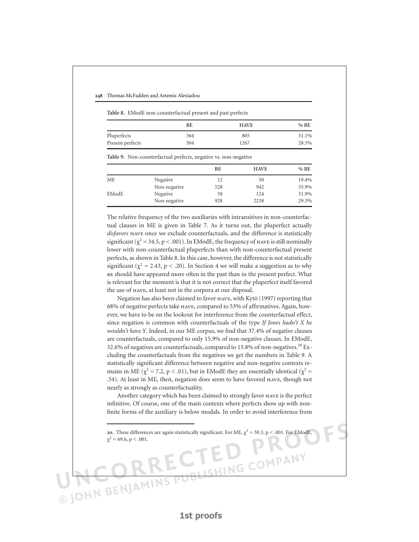**Table 8.** EModE non-counterfactual present and past perfects

|                  | ВE  | <b>HAVE</b> | % BE  |
|------------------|-----|-------------|-------|
| Pluperfects      | 364 | 805         | 31.1% |
| Present perfects | 504 | 1267        | 28.5% |

**Table 9.** Non-counterfactual perfects, negative vs. non-negative

|       |              | BE  | <b>HAVE</b> | % BE  |
|-------|--------------|-----|-------------|-------|
| ME    | Negative     | 12  | 50          | 19.4% |
|       | Non-negative | 528 | 942         | 35.9% |
| EModE | Negative     | 58  | 124         | 31.9% |
|       | Non-negative | 928 | 2238        | 29.3% |

The relative frequency of the two auxiliaries with intransitives in non-counterfactual clauses in ME is given in Table 7. As it turns out, the pluperfect actually *disfavors* have once we exclude counterfactuals, and the difference is statistically significant ( $\chi^2$  = 34.5, p < .001). In EModE, the frequency of  $\mu$ AVE is still nominally lower with non-counterfactual pluperfects than with non-counterfactual present perfects, as shown in Table 8. In this case, however, the difference is not statistically significant ( $\chi^2 = 2.43$ , p < .20). In Section 4 we will make a suggestion as to why be should have appeared more often in the past than in the present perfect. What is relevant for the moment is that it is not correct that the pluperfect itself favored the use of have, at least not in the corpora at our disposal.

Negation has also been claimed to favor have, with Kytö (1997) reporting that 68% of negative perfects take have, compared to 53% of affirmatives. Again, however, we have to be on the lookout for interference from the counterfactual effect, since negation is common with counterfactuals of the type *If Jones hadn't X he wouldn't have Y*. Indeed, in our ME corpus, we find that 37.4% of negative clauses are counterfactuals, compared to only 15.9% of non-negative clauses. In EModE, 32.6% of negatives are counterfactuals, compared to 13.8% of non-negatives.<sup>20</sup> Excluding the counterfactuals from the negatives we get the numbers in Table 9. A statistically significant difference between negative and non-negative contexts remains in ME ( $\chi^2$  = 7.2, p < .01), but in EModE they are essentially identical ( $\chi^2$  = .54). At least in ME, then, negation does seem to have favored have, though not nearly as strongly as counterfactuality.

Another category which has been claimed to strongly favor have is the perfect infinitive. Of course, one of the main contexts where perfects show up with nonfinite forms of the auxiliary is below modals. In order to avoid interference from

20. These differences are again statistically significant. For ME,  $\chi^2$  = 30.3, p < .001. For EModE,<br> $\chi^2$  = 69.6, p < .001.<br>RRECLED COMPANY **20.** These differences are again statistically significant. For ME,  $\chi^2 = 30.3$ , p < .001. For EModE,  $\chi^2$  = 69.6, p < .001.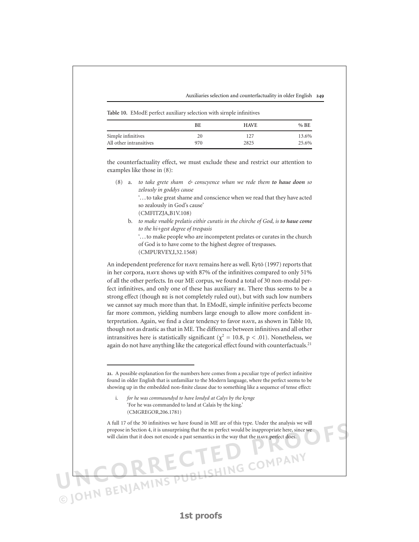| Auxiliaries selection and counterfactuality in older English 249 |  |  |  |
|------------------------------------------------------------------|--|--|--|
|------------------------------------------------------------------|--|--|--|

**Table 10.** EModE perfect auxiliary selection with sirnple infinitives

|                         | ВE  | <b>HAVE</b> | $%$ BE |
|-------------------------|-----|-------------|--------|
| Simple infinitives      | 20  | 127         | 13.6%  |
| All other intransitives | 970 | 2825        | 25.6%  |

the counterfactuality effect, we must exclude these and restrict our attention to examples like those in (8):

(8) a. *to take grete sham & conscyence whan we rede them to haue doon so zelously in goddys cause*

> '. . . to take great shame and conscience when we read that they have acted so zealously in God's cause'

(CMFITZJA,B1V.108)

b. *to make vnable prelatis eithir curatis in the chirche of God, is to haue come to the hi+gest degree of trespasis*

'. . . to make people who are incompetent prelates or curates in the church of God is to have come to the highest degree of trespasses.

(CMPURVEY,I,32.1568)

An independent preference for have remains here as well. Kytö (1997) reports that in her corpora, have shows up with 87% of the infinitives compared to only 51% of all the other perfects. In our ME corpus, we found a total of 30 non-modal perfect infinitives, and only one of these has auxiliary be. There thus seems to be a strong effect (though be is not completely ruled out), but with such low numbers we cannot say much more than that. In EModE, simple infinitive perfects become far more common, yielding numbers large enough to allow more confident interpretation. Again, we find a clear tendency to favor have, as shown in Table 10, though not as drastic as that in ME. The difference between infinitives and all other intransitives here is statistically significant ( $\chi^2 = 10.8$ , p < .01). Nonetheless, we again do not have anything like the categorical effect found with counterfactuals.<sup>21</sup>

 $\overline{6}$ **JOHN BENJAI** 

**<sup>.</sup>** A possible explanation for the numbers here comes from a peculiar type of perfect infinitive found in older English that is unfamiliar to the Modern language, where the perfect seems to be showing up in the embedded non-finite clause due to something like a sequence of tense effect:

i. *for he was commaundyd to have londyd at Calys by the kynge* 'For he was commanded to land at Calais by the king.' (CMGREGOR,206.1781)

**ED PRO** A full 17 of the 30 infinitives we have found in ME are of this type. Under the analysis we will propose in Section 4, it is unsurprising that the be perfect would be inappropriate here, since we will claim that it does not encode a past semantics in the way that the HAVE perfect does.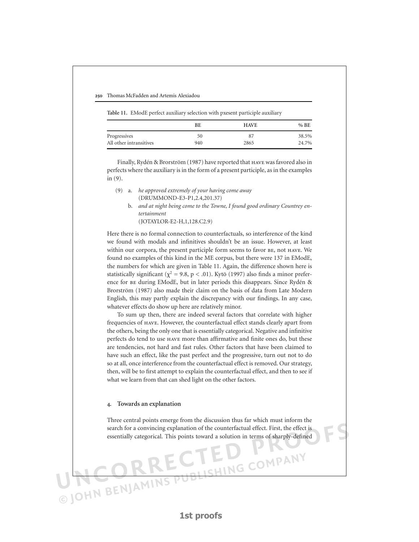**Table 11.** EModE perfect auxiliary selection with pxesent participle auxiliary

|                         | ВE  | <b>HAVE</b> | % BE  |
|-------------------------|-----|-------------|-------|
| Progressives            | 50  | 87          | 38.5% |
| All other intransitives | 940 | 2865        | 24.7% |

Finally, Rydén & Brorström (1987) have reported that HAVE was favored also in perfects where the auxiliary is in the form of a present participle, as in the examples in (9).

(9) a. *he approved extremely of your having come away* (DRUMMOND-E3-P1,2.4,201.37)

b. *and at night being come to the Towne, I found good ordinary Countrey entertainment*

(JOTAYLOR-E2-H,1,128.C2.9)

Here there is no formal connection to counterfactuals, so interference of the kind we found with modals and infinitives shouldn't be an issue. However, at least within our corpora, the present participle form seems to favor BE, not HAVE. We found no examples of this kind in the ME corpus, but there were 137 in EModE, the numbers for which are given in Table 11. Again, the difference shown here is statistically significant ( $\chi^2 = 9.8$ , p < .01). Kytö (1997) also finds a minor preference for be during EModE, but in later periods this disappears. Since Rydén & Brorström (1987) also made their claim on the basis of data from Late Modern English, this may partly explain the discrepancy with our findings. In any case, whatever effects do show up here are relatively minor.

To sum up then, there are indeed several factors that correlate with higher frequencies of have. However, the counterfactual effect stands clearly apart from the others, being the only one that is essentially categorical. Negative and infinitive perfects do tend to use have more than affirmative and finite ones do, but these are tendencies, not hard and fast rules. Other factors that have been claimed to have such an effect, like the past perfect and the progressive, turn out not to do so at all, once interference from the counterfactual effect is removed. Our strategy, then, will be to first attempt to explain the counterfactual effect, and then to see if what we learn from that can shed light on the other factors.

### **. Towards an explanation**

FRECIENTS PUBLISHING COMPANY Three central points emerge from the discussion thus far which must inform the search for a convincing explanation of the counterfactual effect. First, the effect is essentially categorical. This points toward a solution in terms of sharply-defined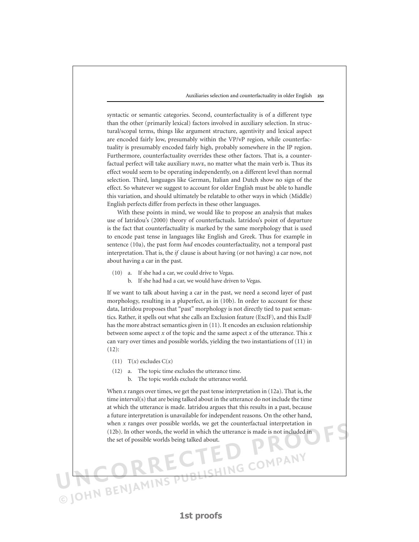syntactic or semantic categories. Second, counterfactuality is of a different type than the other (primarily lexical) factors involved in auxiliary selection. In structural/scopal terms, things like argument structure, agentivity and lexical aspect are encoded fairly low, presumably within the VP/νP region, while counterfactuality is presumably encoded fairly high, probably somewhere in the IP region. Furthermore, counterfactuality overrides these other factors. That is, a counterfactual perfect will take auxiliary have, no matter what the main verb is. Thus its effect would seem to be operating independently, on a different level than normal selection. Third, languages like German, Italian and Dutch show no sign of the effect. So whatever we suggest to account for older English must be able to handle this variation, and should ultimately be relatable to other ways in which (Middle) English perfects differ from perfects in these other languages.

With these points in mind, we would like to propose an analysis that makes use of Iatridou's (2000) theory of counterfactuals. Iatridou's point of departure is the fact that counterfactuality is marked by the same morphology that is used to encode past tense in languages like English and Greek. Thus for example in sentence (10a), the past form *had* encodes counterfactuality, not a temporal past interpretation. That is, the *if* clause is about having (or not having) a car now, not about having a car in the past.

- (10) a. If she had a car, we could drive to Vegas.
	- b. If she had had a car, we would have driven to Vegas.

If we want to talk about having a car in the past, we need a second layer of past morphology, resulting in a pluperfect, as in (10b). In order to account for these data, Iatridou proposes that "past" morphology is not directly tied to past semantics. Rather, it spells out what she calls an Exclusion feature (ExclF), and this ExclF has the more abstract semantics given in (11). It encodes an exclusion relationship between some aspect *x* of the topic and the same aspect *x* of the utterance. This *x* can vary over times and possible worlds, yielding the two instantiations of (11) in (12):

 $(T1)$  T(*x*) excludes  $C(x)$ 

 $\odot$ **JOHN BENJAM** 

- (12) a. The topic time excludes the utterance time.
	- b. The topic worlds exclude the utterance world.

**ED PKU** When *x* ranges over times, we get the past tense interpretation in (12a). That is, the time interval(s) that are being talked about in the utterance do not include the time at which the utterance is made. Iatridou argues that this results in a past, because a future interpretation is unavailable for independent reasons. On the other hand, when *x* ranges over possible worlds, we get the counterfactual interpretation in (12b). In other words, the world in which the utterance is made is not included in the set of possible worlds being talked about.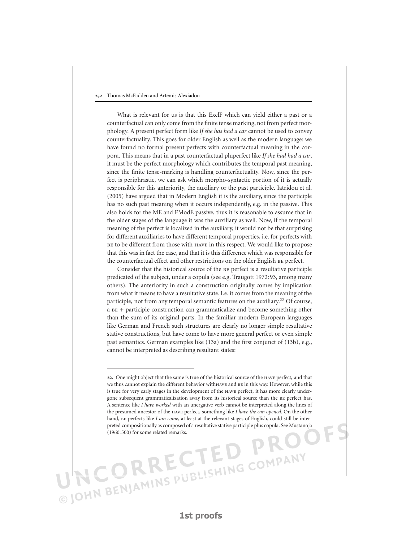What is relevant for us is that this ExclF which can yield either a past or a counterfactual can only come from the finite tense marking, not from perfect morphology. A present perfect form like *If she has had a car* cannot be used to convey counterfactuality. This goes for older English as well as the modern language: we have found no formal present perfects with counterfactual meaning in the corpora. This means that in a past counterfactual pluperfect like *If she had had a car*, it must be the perfect morphology which contributes the temporal past meaning, since the finite tense-marking is handling counterfactuality. Now, since the perfect is periphrastic, we can ask which morpho-syntactic portion of it is actually responsible for this anteriority, the auxiliary or the past participle. Iatridou et al. (2005) have argued that in Modern English it is the auxiliary, since the participle has no such past meaning when it occurs independently, e.g. in the passive. This also holds for the ME and EModE passive, thus it is reasonable to assume that in the older stages of the language it was the auxiliary as well. Now, if the temporal meaning of the perfect is localized in the auxiliary, it would not be that surprising for different auxiliaries to have different temporal properties, i.e. for perfects with be to be different from those with have in this respect. We would like to propose that this was in fact the case, and that it is this difference which was responsible for the counterfactual effect and other restrictions on the older English be perfect.

Consider that the historical source of the be perfect is a resultative participle predicated of the subject, under a copula (see e.g. Traugott 1972:93, among many others). The anteriority in such a construction originally comes by implication from what it means to have a resultative state. I.e. it comes from the meaning of the participle, not from any temporal semantic features on the auxiliary.<sup>22</sup> Of course, a be + participle construction can grammaticalize and become something other than the sum of its original parts. In the familiar modern European languages like German and French such structures are clearly no longer simple resultative stative constructions, but have come to have more general perfect or even simple past semantics. German examples like (13a) and the first conjunct of (13b), e.g., cannot be interpreted as describing resultant states:

preted compositionally as composed of a resultative stative participle plus copula. See Mustanoja<br>
(1960: 500) for some related remarks.<br>
PUBLISHING COMPANY **.** One might object that the same is true of the historical source of the have perfect, and that we thus cannot explain the different behavior withhave and be in this way. However, while this is true for very early stages in the development of the have perfect, it has more clearly undergone subsequent grammaticalization away from its historical source than the be perfect has. A sentence like *I have worked* with an unergative verb cannot be interpreted along the lines of the presumed ancestor of the have perfect, something like *I have the can opened*. On the other hand, be perfects like *I am come*, at least at the relevant stages of English, could still be interpreted compositionally as composed of a resultative stative participle plus copula. See Mustanoja (1960:500) for some related remarks.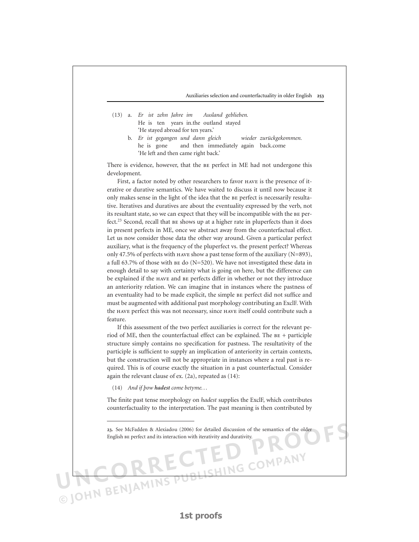- (13) a. *Er ist zehn Jahre im* He is ten years in.the outland stayed *Ausland geblieben.* 'He stayed abroad for ten years.'
	- b. *Er ist gegangen und dann gleich* he is gone and then immediately again back.come *wieder zurückgekommen.* 'He left and then came right back.'

There is evidence, however, that the be perfect in ME had not undergone this development.

First, a factor noted by other researchers to favor have is the presence of iterative or durative semantics. We have waited to discuss it until now because it only makes sense in the light of the idea that the be perfect is necessarily resultative. Iteratives and duratives are about the eventuality expressed by the verb, not its resultant state, so we can expect that they will be incompatible with the be perfect.<sup>23</sup> Second, recall that be shows up at a higher rate in pluperfects than it does in present perfects in ME, once we abstract away from the counterfactual effect. Let us now consider those data the other way around. Given a particular perfect auxiliary, what is the frequency of the pluperfect vs. the present perfect? Whereas only 47.5% of perfects with  $\mu$  have show a past tense form of the auxiliary (N=893), a full 63.7% of those with be do (N=520). We have not investigated these data in enough detail to say with certainty what is going on here, but the difference can be explained if the have and be perfects differ in whether or not they introduce an anteriority relation. We can imagine that in instances where the pastness of an eventuality had to be made explicit, the simple be perfect did not suffice and must be augmented with additional past morphology contributing an ExclF. With the have perfect this was not necessary, since have itself could contribute such a feature.

If this assessment of the two perfect auxiliaries is correct for the relevant period of ME, then the counterfactual effect can be explained. The  $BE +$  participle structure simply contains no specification for pastness. The resultativity of the participle is sufficient to supply an implication of anteriority in certain contexts, but the construction will not be appropriate in instances where a real past is required. This is of course exactly the situation in a past counterfactual. Consider again the relevant clause of ex. (2a), repeated as (14):

(14) *And if þow hadest come betyme. . .*

 $\odot$ **JOHN BENJAM** 

The finite past tense morphology on *hadest* supplies the ExclF, which contributes counterfactuality to the interpretation. The past meaning is then contributed by

**ELU I'KU .** See McFadden & Alexiadou (2006) for detailed discussion of the semantics of the older English be perfect and its interaction with iterativity and durativity.

# **1st proofs**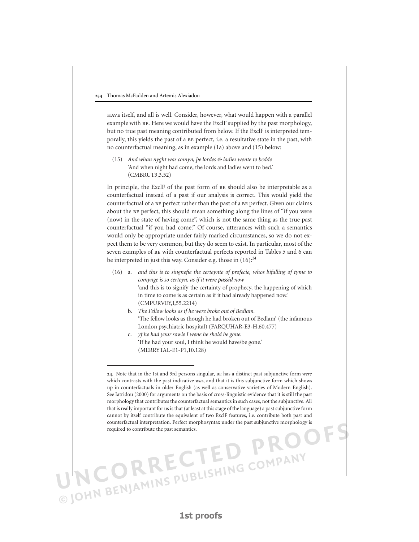have itself, and all is well. Consider, however, what would happen with a parallel example with be. Here we would have the ExclF supplied by the past morphology, but no true past meaning contributed from below. If the ExclF is interpreted temporally, this yields the past of a be perfect, i.e. a resultative state in the past, with no counterfactual meaning, as in example (1a) above and (15) below:

(15) *And whan nyght was comyn, þe lordes & ladies wente to bedde* 'And when night had come, the lords and ladies went to bed.' (CMBRUT3,3.52)

In principle, the ExclF of the past form of be should also be interpretable as a counterfactual instead of a past if our analysis is correct. This would yield the counterfactual of a be perfect rather than the past of a be perfect. Given our claims about the be perfect, this should mean something along the lines of "if you were (now) in the state of having come", which is not the same thing as the true past counterfactual "if you had come." Of course, utterances with such a semantics would only be appropriate under fairly marked circumstances, so we do not expect them to be very common, but they do seem to exist. In particular, most of the seven examples of be with counterfactual perfects reported in Tables 5 and 6 can be interpreted in just this way. Consider e.g. those in  $(16)$ :<sup>24</sup>

- (16) a. *and this is to singnefie the certeynte of profecie, whos bifalling of tyme to comynge is so certeyn, as if it were passid now* 'and this is to signify the certainty of prophecy, the happening of which in time to come is as certain as if it had already happened now.' (CMPURVEY,I,55.2214)
	- b. *The Fellow looks as if he were broke out of Bedlam.* 'The fellow looks as though he had broken out of Bedlam' (the infamous London psychiatric hospital) (FARQUHAR-E3-H,60.477)
	- c. *yf he had your sowle I wene he shold be gone.* 'If he had your soul, I think he would have/be gone.' (MERRYTAL-E1-P1,10.128)

CORRECTED COMPANY **.** Note that in the 1st and 3rd persons singular, be has a distinct past subjunctive form *were* which contrasts with the past indicative *was*, and that it is this subjunctive form which shows up in counterfactuals in older English (as well as conservative varieties of Modern English). See Iatridou (2000) for arguments on the basis of cross-linguistic evidence that it is still the past morphology that contributes the counterfactual semantics in such cases, not the subjunctive. All that is really important for us is that (at least at this stage of the language) a past subjunctive form cannot by itself contribute the equivalent of two ExclF features, i.e. contribute both past and counterfactual interpretation. Perfect morphosyntax under the past subjunctive morphology is required to contribute the past semantics.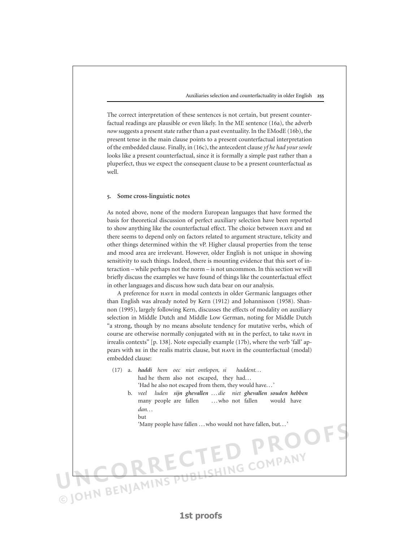The correct interpretation of these sentences is not certain, but present counterfactual readings are plausible or even likely. In the ME sentence (16a), the adverb *now* suggests a present state rather than a past eventuality. In the EModE (16b), the present tense in the main clause points to a present counterfactual interpretation of the embedded clause. Finally, in (16c), the antecedent clause *yf he had your sowle* looks like a present counterfactual, since it is formally a simple past rather than a pluperfect, thus we expect the consequent clause to be a present counterfactual as well.

### **. Some cross-linguistic notes**

As noted above, none of the modern European languages that have formed the basis for theoretical discussion of perfect auxiliary selection have been reported to show anything like the counterfactual effect. The choice between have and be there seems to depend only on factors related to argument structure, telicity and other things determined within the νP. Higher clausal properties from the tense and mood area are irrelevant. However, older English is not unique in showing sensitivity to such things. Indeed, there is mounting evidence that this sort of interaction – while perhaps not the norm – is not uncommon. In this section we will briefly discuss the examples we have found of things like the counterfactual effect in other languages and discuss how such data bear on our analysis.

A preference for have in modal contexts in older Germanic languages other than English was already noted by Kern (1912) and Johannisson (1958). Shannon (1995), largely following Kern, discusses the effects of modality on auxiliary selection in Middle Dutch and Middle Low German, noting for Middle Dutch "a strong, though by no means absolute tendency for mutative verbs, which of course are otherwise normally conjugated with be in the perfect, to take have in irrealis contexts" [p. 138]. Note especially example (17b), where the verb 'fall' appears with be in the realis matrix clause, but have in the counterfactual (modal) embedded clause:

- (17) a. *haddi hem oec niet ontlopen, si* had he them also not escaped, they had... *haddent. . .* 'Had he also not escaped from them, they would have. . . '
	- b. *veel luden sijn ghevallen . . . die niet ghevallen souden hebben* many people are fallen . . .who not fallen would have *dan. . .*
		- but

Wany people have fallen ... who would not have fallen, but..."<br>
CORRECIED PROOFS 'Many people have fallen . . .who would not have fallen, but. . . '

# **1st proofs**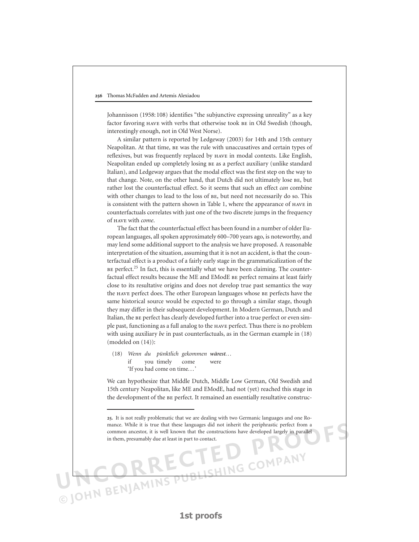Johannisson (1958:108) identifies "the subjunctive expressing unreality" as a key factor favoring have with verbs that otherwise took be in Old Swedish (though, interestingly enough, not in Old West Norse).

A similar pattern is reported by Ledgeway (2003) for 14th and 15th century Neapolitan. At that time, be was the rule with unaccusatives and certain types of reflexives, but was frequently replaced by have in modal contexts. Like English, Neapolitan ended up completely losing be as a perfect auxiliary (unlike standard Italian), and Ledgeway argues that the modal effect was the first step on the way to that change. Note, on the other hand, that Dutch did not ultimately lose be, but rather lost the counterfactual effect. So it seems that such an effect *can* combine with other changes to lead to the loss of be, but need not necessarily do so. This is consistent with the pattern shown in Table 1, where the appearance of have in counterfactuals correlates with just one of the two discrete jumps in the frequency of have with *come*.

The fact that the counterfactual effect has been found in a number of older European languages, all spoken approximately 600–700 years ago, is noteworthy, and may lend some additional support to the analysis we have proposed. A reasonable interpretation of the situation, assuming that it is not an accident, is that the counterfactual effect is a product of a fairly early stage in the grammaticalization of the  $BE$  perfect.<sup>25</sup> In fact, this is essentially what we have been claiming. The counterfactual effect results because the ME and EModE be perfect remains at least fairly close to its resultative origins and does not develop true past semantics the way the HAVE perfect does. The other European languages whose BE perfects have the same historical source would be expected to go through a similar stage, though they may differ in their subsequent development. In Modern German, Dutch and Italian, the be perfect has clearly developed further into a true perfect or even simple past, functioning as a full analog to the have perfect. Thus there is no problem with using auxiliary *be* in past counterfactuals, as in the German example in (18) (modeled on (14)):

(18) *Wenn du pünktlich gekommen wärest. . .* if you timely come were 'If you had come on time. . . '

 $6$ **JOHN BENJAM** 

We can hypothesize that Middle Dutch, Middle Low German, Old Swedish and 15th century Neapolitan, like ME and EModE, had not (yet) reached this stage in the development of the be perfect. It remained an essentially resultative construc-

**ED PRU .** It is not really problematic that we are dealing with two Germanic languages and one Romance. While it is true that these languages did not inherit the periphrastic perfect from a common ancestor, it is well known that the constructions have developed largely in parallel in them, presumably due at least in part to contact.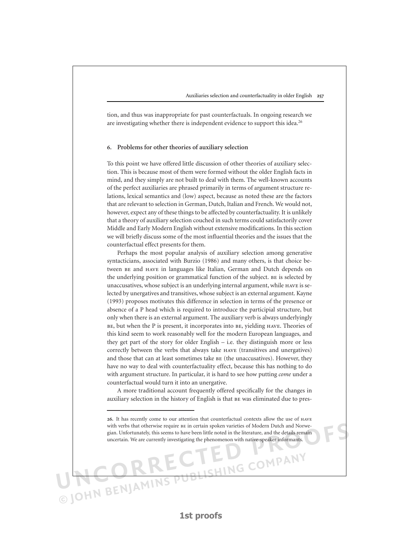tion, and thus was inappropriate for past counterfactuals. In ongoing research we are investigating whether there is independent evidence to support this idea.<sup>26</sup>

### **. Problems for other theories of auxiliary selection**

To this point we have offered little discussion of other theories of auxiliary selection. This is because most of them were formed without the older English facts in mind, and they simply are not built to deal with them. The well-known accounts of the perfect auxiliaries are phrased primarily in terms of argument structure relations, lexical semantics and (low) aspect, because as noted these are the factors that are relevant to selection in German, Dutch, Italian and French. We would not, however, expect any of these things to be affected by counterfactuality. It is unlikely that a theory of auxiliary selection couched in such terms could satisfactorily cover Middle and Early Modern English without extensive modifications. In this section we will briefly discuss some of the most influential theories and the issues that the counterfactual effect presents for them.

Perhaps the most popular analysis of auxiliary selection among generative syntacticians, associated with Burzio (1986) and many others, is that choice between be and have in languages like Italian, German and Dutch depends on the underlying position or grammatical function of the subject. be is selected by unaccusatives, whose subject is an underlying internal argument, while have is selected by unergatives and transitives, whose subject is an external argument. Kayne (1993) proposes motivates this difference in selection in terms of the presence or absence of a P head which is required to introduce the participial structure, but only when there is an external argument. The auxiliary verb is always underlyingly be, but when the P is present, it incorporates into be, yielding have. Theories of this kind seem to work reasonably well for the modern European languages, and they get part of the story for older English – i.e. they distinguish more or less correctly between the verbs that always take have (transitives and unergatives) and those that can at least sometimes take be (the unaccusatives). However, they have no way to deal with counterfactuality effect, because this has nothing to do with argument structure. In particular, it is hard to see how putting *come* under a counterfactual would turn it into an unergative.

A more traditional account frequently offered specifically for the changes in auxiliary selection in the history of English is that be was eliminated due to pres-

**IING COMPANY** 

**2706**<br>EXPRESSION

**<sup>.</sup>** It has recently come to our attention that counterfactual contexts allow the use of have with verbs that otherwise require be in certain spoken varieties of Modern Dutch and Norwegian. Unfortunately, this seems to have been little noted in the literature, and the details remain uncertain. We are currently investigating the phenomenon with native-speaker informants.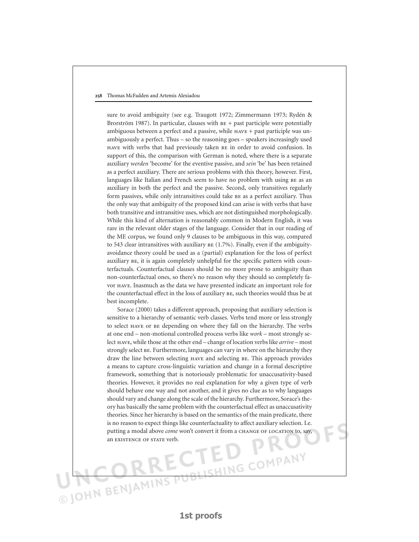sure to avoid ambiguity (see e.g. Traugott 1972; Zimmermann 1973; Rydén & Brorström 1987). In particular, clauses with  $BE + past$  participle were potentially ambiguous between a perfect and a passive, while have + past participle was unambiguously a perfect. Thus – so the reasoning goes – speakers increasingly used have with verbs that had previously taken be in order to avoid confusion. In support of this, the comparison with German is noted, where there is a separate auxiliary *werden* 'become' for the eventive passive, and *sein* 'be' has been retained as a perfect auxiliary. There are serious problems with this theory, however. First, languages like Italian and French seem to have no problem with using be as an auxiliary in both the perfect and the passive. Second, only transitives regularly form passives, while only intransitives could take be as a perfect auxiliary. Thus the only way that ambiguity of the proposed kind can arise is with verbs that have both transitive and intransitive uses, which are not distinguished morphologically. While this kind of alternation is reasonably common in Modern English, it was rare in the relevant older stages of the language. Consider that in our reading of the ME corpus, we found only 9 clauses to be ambiguous in this way, compared to 543 clear intransitives with auxiliary be (1.7%). Finally, even if the ambiguityavoidance theory could be used as a (partial) explanation for the loss of perfect auxiliary be, it is again completely unhelpful for the specific pattern with counterfactuals. Counterfactual clauses should be no more prone to ambiguity than non-counterfactual ones, so there's no reason why they should so completely favor have. Inasmuch as the data we have presented indicate an important role for the counterfactual effect in the loss of auxiliary be, such theories would thus be at best incomplete.

Is no reason to expect things like counterfactuality to affect auxiliary selection. I.e.<br>
putting a modal above *come* won't convert it from a CHANGE OF LOCATION to, say,<br>
an EXISTENCE OF STATE VEP.<br> **ENTERE COMPANY** Sorace (2000) takes a different approach, proposing that auxiliary selection is sensitive to a hierarchy of semantic verb classes. Verbs tend more or less strongly to select have or be depending on where they fall on the hierarchy. The verbs at one end – non-motional controlled process verbs like *work* – most strongly select have, while those at the other end – change of location verbs like *arrive* – most strongly select be. Furthermore, languages can vary in where on the hierarchy they draw the line between selecting have and selecting be. This approach provides a means to capture cross-linguistic variation and change in a formal descriptive framework, something that is notoriously problematic for unaccusativity-based theories. However, it provides no real explanation for why a given type of verb should behave one way and not another, and it gives no clue as to why languages should vary and change along the scale of the hierarchy. Furthermore, Sorace's theory has basically the same problem with the counterfactual effect as unaccusativity theories. Since her hierarchy is based on the semantics of the main predicate, there is no reason to expect things like counterfactuality to affect auxiliary selection. I.e. putting a modal above *come* won't convert it from a CHANGE OF LOCATION to, say, an EXISTENCE OF STATE verb.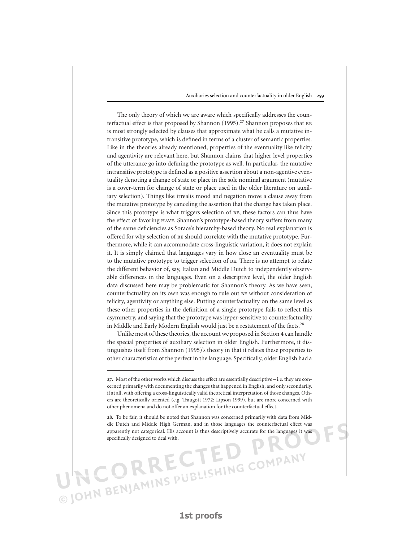The only theory of which we are aware which specifically addresses the counterfactual effect is that proposed by Shannon (1995).<sup>27</sup> Shannon proposes that  $BE$ is most strongly selected by clauses that approximate what he calls a mutative intransitive prototype, which is defined in terms of a cluster of semantic properties. Like in the theories already mentioned, properties of the eventuality like telicity and agentivity are relevant here, but Shannon claims that higher level properties of the utterance go into defining the prototype as well. In particular, the mutative intransitive prototype is defined as a positive assertion about a non-agentive eventuality denoting a change of state or place in the sole nominal argument (mutative is a cover-term for change of state or place used in the older literature on auxiliary selection). Things like irrealis mood and negation move a clause away from the mutative prototype by canceling the assertion that the change has taken place. Since this prototype is what triggers selection of be, these factors can thus have the effect of favoring have. Shannon's prototype-based theory suffers from many of the same deficiencies as Sorace's hierarchy-based theory. No real explanation is offered for why selection of be should correlate with the mutative prototype. Furthermore, while it can accommodate cross-linguistic variation, it does not explain it. It is simply claimed that languages vary in how close an eventuality must be to the mutative prototype to trigger selection of be. There is no attempt to relate the different behavior of, say, Italian and Middle Dutch to independently observable differences in the languages. Even on a descriptive level, the older English data discussed here may be problematic for Shannon's theory. As we have seen, counterfactuality on its own was enough to rule out be without consideration of telicity, agentivity or anything else. Putting counterfactuality on the same level as these other properties in the definition of a single prototype fails to reflect this asymmetry, and saying that the prototype was hyper-sensitive to counterfactuality in Middle and Early Modern English would just be a restatement of the facts.<sup>28</sup>

Unlike most of these theories, the account we proposed in Section 4 can handle the special properties of auxiliary selection in older English. Furthermore, it distinguishes itself from Shannon (1995)'s theory in that it relates these properties to other characteristics of the perfect in the language. Specifically, older English had a

**<sup>.</sup>** Most of the other works which discuss the effect are essentially descriptive – i.e. they are concerned primarily with documenting the changes that happened in English, and only secondarily, if at all, with offering a cross-linguistically valid theoretical interpretation of those changes. Others are theoretically oriented (e.g. Traugott 1972; Lipson 1999), but are more concerned with other phenomena and do not offer an explanation for the counterfactual effect.

dle Dutch and Middle High German, and in those languages the counterfactual effect was<br>apparently not categorical. His account is thus descriptively accurate for the languages it was<br>specifically designed to deal with.<br><br>**R .** To be fair, it should be noted that Shannon was concerned primarily with data from Middle Dutch and Middle High German, and in those languages the counterfactual effect was apparently not categorical. His account is thus descriptively accurate for the languages it was specifically designed to deal with.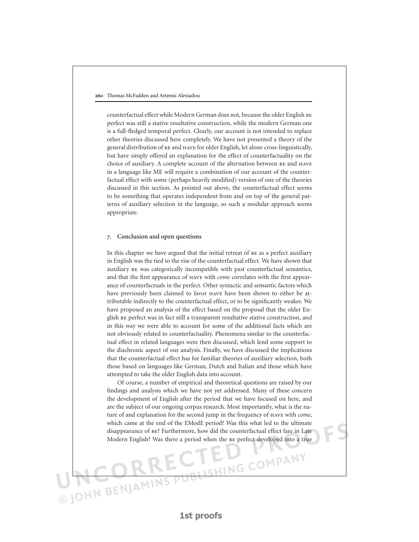counterfactual effect while Modern German does not, because the older English be perfect was still a stative resultative construction, while the modern German one is a full-fledged temporal perfect. Clearly, our account is not intended to replace other theories discussed here completely. We have not presented a theory of the general distribution of be and have for older English, let alone cross-linguistically, but have simply offered an explanation for the effect of counterfactuality on the choice of auxiliary. A complete account of the alternation between be and have in a language like ME will require a combination of our account of the counterfactual effect with some (perhaps heavily modified) version of one of the theories discussed in this section. As pointed out above, the counterfactual effect seems to be something that operates independent from and on top of the general patterns of auxiliary selection in the language, so such a modular approach seems appropriate.

# **. Conclusion and open questions**

In this chapter we have argued that the initial retreat of be as a perfect auxiliary in English was the tied to the rise of the counterfactual effect. We have shown that auxiliary be was categorically incompatible with past counterfactual semantics, and that the first appearance of have with *come* correlates with the first appearance of counterfactuals in the perfect. Other syntactic and semantic factors which have previously been claimed to favor have have been shown to either be attributable indirectly to the counterfactual effect, or to be significantly weaker. We have proposed an analysis of the effect based on the proposal that the older English be perfect was in fact still a transparent resultative stative construction, and in this way we were able to account for some of the additional facts which are not obviously related to counterfactuality. Phenomena similar to the counterfactual effect in related languages were then discussed, which lend some support to the diachronic aspect of our analysis. Finally, we have discussed the implications that the counterfactual effect has for familiar theories of auxiliary selection, both those based on languages like German, Dutch and Italian and those which have attempted to take the older English data into account.

which came at the end of the EModE period? Was this what led to the ultimate<br>disappearance of BE? Furthermore, how did the counterfactual effect fare in Late<br>Modern English? Was there a period when the BE perfect developed Of course, a number of empirical and theoretical questions are raised by our findings and analysis which we have not yet addressed. Many of these concern the development of English after the period that we have focused on here, and are the subject of our ongoing corpus research. Most importantly, what is the nature of and explanation for the second jump in the frequency of have with *come*, which came at the end of the EModE period? Was this what led to the ultimate disappearance of be? Furthermore, how did the counterfactual effect fare in Late Modern English? Was there a period when the be perfect developed into a true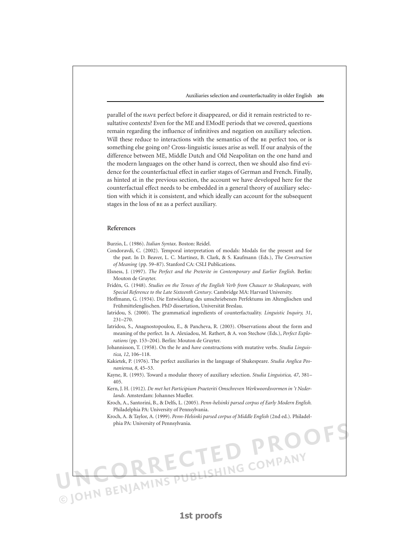parallel of the have perfect before it disappeared, or did it remain restricted to resultative contexts? Even for the ME and EModE periods that we covered, questions remain regarding the influence of infinitives and negation on auxiliary selection. Will these reduce to interactions with the semantics of the BE perfect too, or is something else going on? Cross-linguistic issues arise as well. If our analysis of the difference between ME, Middle Dutch and Old Neapolitan on the one hand and the modern languages on the other hand is correct, then we should also find evidence for the counterfactual effect in earlier stages of German and French. Finally, as hinted at in the previous section, the account we have developed here for the counterfactual effect needs to be embedded in a general theory of auxiliary selection with which it is consistent, and which ideally can account for the subsequent stages in the loss of be as a perfect auxiliary.

#### **References**

Burzio, L. (1986). *Italian Syntax*. Boston: Reidel.

- Condoravdi, C. (2002). Temporal interpretation of modals: Modals for the present and for the past. In D. Beaver, L. C. Martínez, B. Clark, & S. Kaufmann (Eds.), *The Construction of Meaning* (pp. 59–87). Stanford CA: CSLI Publications.
- Elsness, J. (1997). *The Perfect and the Preterite in Contemporary and Earlier English*. Berlin: Mouton de Gruyter.
- Fridén, G. (1948). *Studies on the Tenses of the English Verb from Chaucer to Shakespeare, with Special Reference to the Late Sixteenth Century*. Cambridge MA: Harvard University.
- Hoffmann, G. (1934). Die Entwicklung des umschriebenen Perfektums im Altenglischen und Frühmittelenglischen. PhD dissertation, Universität Breslau.
- Iatridou, S. (2000). The grammatical ingredients of counterfactuality. *Linguistic Inquiry, 31*, 231–270.
- Iatridou, S., Anagnostopoulou, E., & Pancheva, R. (2003). Observations about the form and meaning of the perfect. In A. Alexiadou, M. Rathert, & A. von Stechow (Eds.), *Perfect Explorations* (pp. 153–204). Berlin: Mouton de Gruyter.
- Johannisson, T. (1958). On the *be* and *have* constructions with mutative verbs. *Studia Linguistica, 12*, 106–118.
- Kakietek, P. (1976). The perfect auxiliaries in the language of Shakespeare. *Studia Anglica Posnaniensa, 8*, 45–53.
- Kayne, R. (1993). Toward a modular theory of auxiliary selection. *Studia Linguistica, 47*, 381– 405.
- Kern, J. H. (1912). *De met het Participium Praeteriti Omschreven Werkwoordsvormen in 't Nederlands*. Amsterdam: Johannes Mueller.
- Kroch, A., Santorini, B., & Delfs, L. (2005). *Penn-helsinki parsed corpus of Early Modern English.* Philadelphia PA: University of Pennsylvania.
- Phia PA: University of Pennsylvania.<br>
CORRECTED PROOFS Kroch, A. & Taylor, A. (1999). *Penn-Helsinki parsed corpus of Middle English* (2nd ed.). Philadelphia PA: University of Pennsylvania.